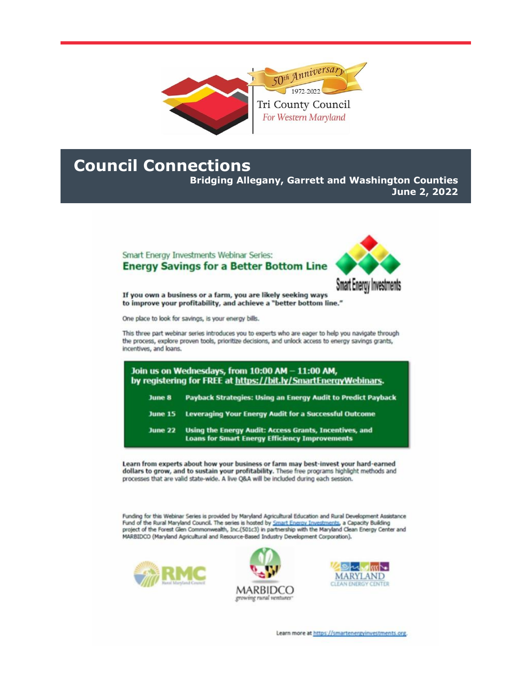

## **Council Connections**

**Bridging Allegany, Garrett and Washington Counties** June 2, 2022

## Smart Energy Investments Webinar Series: **Energy Savings for a Better Bottom Line**



If you own a business or a farm, you are likely seeking ways to improve your profitability, and achieve a "better bottom line."

One place to look for savings, is your energy bills.

This three part webinar series introduces you to experts who are eager to help you navigate through the process, explore proven tools, prioritize decisions, and unlock access to energy savings grants, incentives, and loans.

| Join us on Wednesdays, from 10:00 AM - 11:00 AM,<br>by registering for FREE at https://bit.ly/SmartEnergyWebinars. |                                                                                                                 |
|--------------------------------------------------------------------------------------------------------------------|-----------------------------------------------------------------------------------------------------------------|
| June 8                                                                                                             | Payback Strategies: Using an Energy Audit to Predict Payback                                                    |
| <b>June 15</b>                                                                                                     | <b>Leveraging Your Energy Audit for a Successful Outcome</b>                                                    |
| <b>June 22</b>                                                                                                     | Using the Energy Audit: Access Grants, Incentives, and<br><b>Loans for Smart Energy Efficiency Improvements</b> |

Learn from experts about how your business or farm may best-invest your hard-earned dollars to grow, and to sustain your profitability. These free programs highlight methods and processes that are valid state-wide. A live Q&A will be included during each session.

Funding for this Webinar Series is provided by Maryland Agricultural Education and Rural Development Assistance Fund of the Rural Maryland Council. The series is hosted by Smart Energy Investments, a Capacity Building<br>project of the Forest Glen Commonwealth, Inc.(501c3) in partnership with the Maryland Clean Energy Center and MARBIDCO (Maryland Agricultural and Resource-Based Industry Development Corporation).